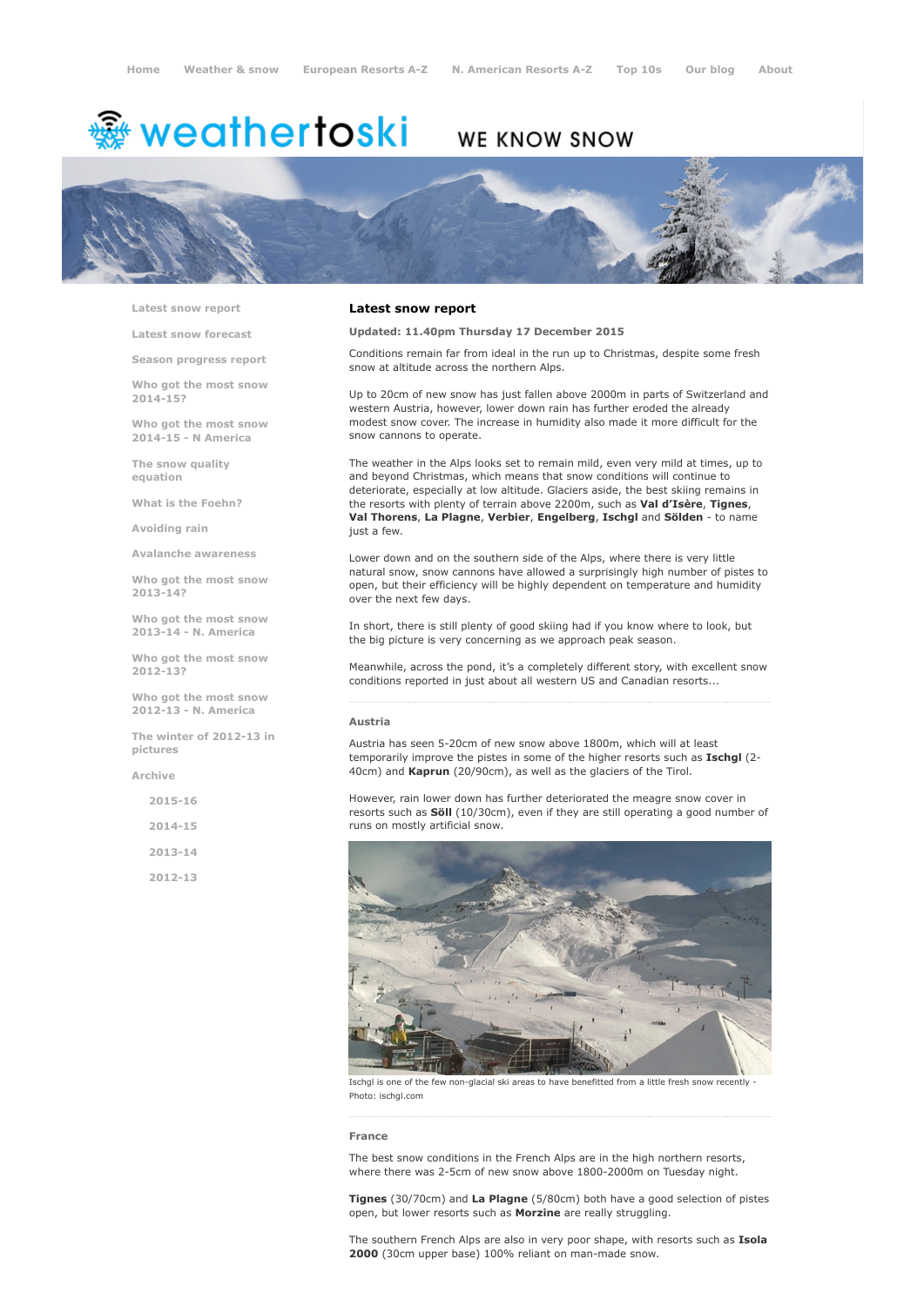# <del>鑾</del> weathertoski

# WE KNOW SNOW



Latest snow [report](http://www.weathertoski.co.uk/weather-snow/latest-snow-report/)

Latest snow [forecast](http://www.weathertoski.co.uk/weather-snow/latest-snow-forecast/)

Season [progress](http://www.weathertoski.co.uk/weather-snow/season-progress-report/) report

Who got the most snow 2014-15?

Who got the most snow 2014-15 - N America

The snow quality [equation](http://www.weathertoski.co.uk/weather-snow/the-snow-quality-equation/)

What is the [Foehn?](http://www.weathertoski.co.uk/weather-snow/what-is-the-foehn/)

[Avoiding](http://www.weathertoski.co.uk/weather-snow/avoiding-rain/) rain

Avalanche [awareness](http://www.weathertoski.co.uk/weather-snow/avalanche-awareness/)

Who got the most snow 2013-14?

Who got the most snow 2013-14 - N. America

Who got the most snow 2012-13?

Who got the most snow 2012-13 - N. America

The winter of 2012-13 in pictures

[Archive](http://www.weathertoski.co.uk/weather-snow/archive/)

2015-16

2014-15

2013-14

2012-13

# Latest snow report

Updated: 11.40pm Thursday 17 December 2015

Conditions remain far from ideal in the run up to Christmas, despite some fresh snow at altitude across the northern Alps.

Up to 20cm of new snow has just fallen above 2000m in parts of Switzerland and western Austria, however, lower down rain has further eroded the already modest snow cover. The increase in humidity also made it more difficult for the snow cannons to operate.

The weather in the Alps looks set to remain mild, even very mild at times, up to and beyond Christmas, which means that snow conditions will continue to deteriorate, especially at low altitude. Glaciers aside, the best skiing remains in the resorts with plenty of terrain above 2200m, such as Val d'Isère, Tignes, Val Thorens, La Plagne, Verbier, Engelberg, Ischgl and Sölden - to name just a few.

Lower down and on the southern side of the Alps, where there is very little natural snow, snow cannons have allowed a surprisingly high number of pistes to open, but their efficiency will be highly dependent on temperature and humidity over the next few days.

In short, there is still plenty of good skiing had if you know where to look, but the big picture is very concerning as we approach peak season.

Meanwhile, across the pond, it's a completely different story, with excellent snow conditions reported in just about all western US and Canadian resorts...

# Austria

Austria has seen 5-20cm of new snow above 1800m, which will at least temporarily improve the pistes in some of the higher resorts such as Ischgl (2-40cm) and Kaprun (20/90cm), as well as the glaciers of the Tirol.

However, rain lower down has further deteriorated the meagre snow cover in resorts such as **Söll** (10/30cm), even if they are still operating a good number of runs on mostly artificial snow.



Ischgl is one of the few non-glacial ski areas to have benefitted from a little fresh snow recently Photo: ischgl.com

#### France

The best snow conditions in the French Alps are in the high northern resorts, where there was 2-5cm of new snow above 1800-2000m on Tuesday night.

Tignes (30/70cm) and La Plagne (5/80cm) both have a good selection of pistes open, but lower resorts such as Morzine are really struggling.

The southern French Alps are also in very poor shape, with resorts such as Isola 2000 (30cm upper base) 100% reliant on man-made snow.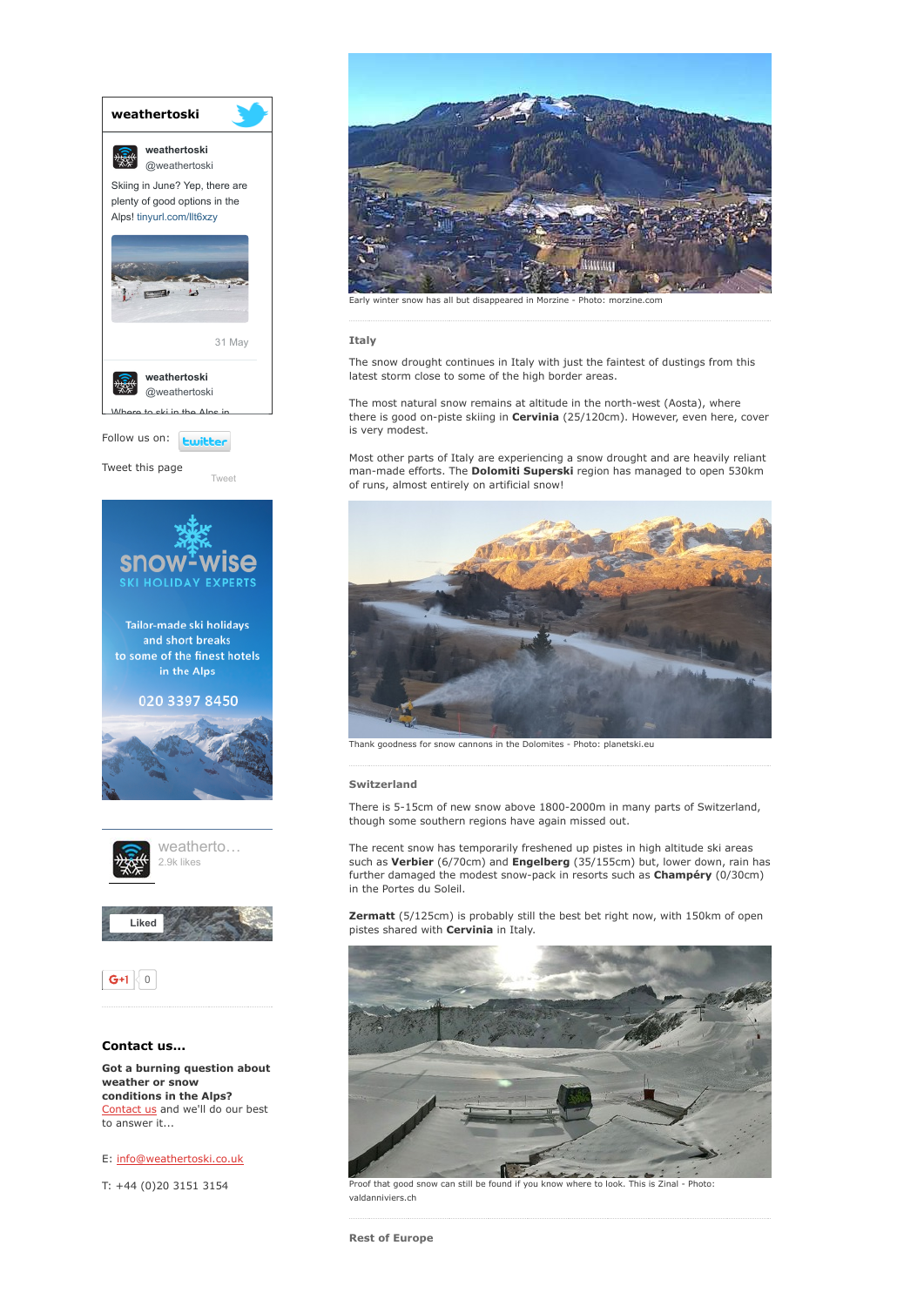

E: [info@weathertoski.co.uk](mailto:fraser@weathertoski.co.uk)

T: +44 (0)20 3151 3154



winter snow has all but disappeared in Morzine - Photo: morzine.com

# Italy

The snow drought continues in Italy with just the faintest of dustings from this latest storm close to some of the high border areas.

The most natural snow remains at altitude in the north-west (Aosta), where there is good on-piste skiing in Cervinia (25/120cm). However, even here, cover is very modest.

Most other parts of Italy are experiencing a snow drought and are heavily reliant man-made efforts. The Dolomiti Superski region has managed to open 530km of runs, almost entirely on artificial snow!



Thank goodness for snow cannons in the Dolomites - Photo: planetski.eu

# Switzerland

There is 5-15cm of new snow above 1800-2000m in many parts of Switzerland, though some southern regions have again missed out.

The recent snow has temporarily freshened up pistes in high altitude ski areas such as Verbier (6/70cm) and Engelberg (35/155cm) but, lower down, rain has further damaged the modest snow-pack in resorts such as Champéry (0/30cm) in the Portes du Soleil.

Zermatt (5/125cm) is probably still the best bet right now, with 150km of open pistes shared with **Cervinia** in Italy.



Proof that good snow can still be found if you know where to look. This is Zinal - Photo valdanniviers.ch

Rest of Europe